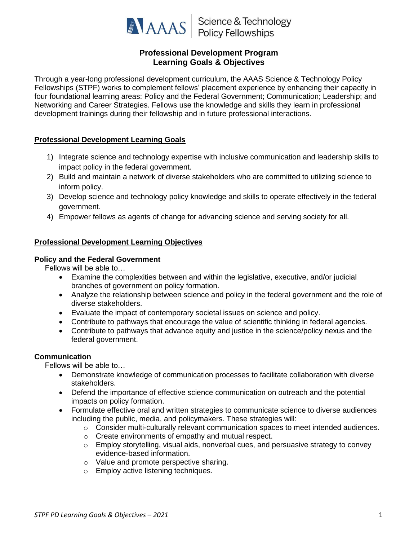

**ANAAS** Science & Technology

# **Professional Development Program Learning Goals & Objectives**

Through a year-long professional development curriculum, the AAAS Science & Technology Policy Fellowships (STPF) works to complement fellows' placement experience by enhancing their capacity in four foundational learning areas: Policy and the Federal Government; Communication; Leadership; and Networking and Career Strategies. Fellows use the knowledge and skills they learn in professional development trainings during their fellowship and in future professional interactions.

## **Professional Development Learning Goals**

- 1) Integrate science and technology expertise with inclusive communication and leadership skills to impact policy in the federal government.
- 2) Build and maintain a network of diverse stakeholders who are committed to utilizing science to inform policy.
- 3) Develop science and technology policy knowledge and skills to operate effectively in the federal government.
- 4) Empower fellows as agents of change for advancing science and serving society for all.

## **Professional Development Learning Objectives**

#### **Policy and the Federal Government**

Fellows will be able to…

- Examine the complexities between and within the legislative, executive, and/or judicial branches of government on policy formation.
- Analyze the relationship between science and policy in the federal government and the role of diverse stakeholders.
- Evaluate the impact of contemporary societal issues on science and policy.
- Contribute to pathways that encourage the value of scientific thinking in federal agencies.
- Contribute to pathways that advance equity and justice in the science/policy nexus and the federal government.

## **Communication**

Fellows will be able to…

- Demonstrate knowledge of communication processes to facilitate collaboration with diverse stakeholders.
- Defend the importance of effective science communication on outreach and the potential impacts on policy formation.
- Formulate effective oral and written strategies to communicate science to diverse audiences including the public, media, and policymakers. These strategies will:
	- $\circ$  Consider multi-culturally relevant communication spaces to meet intended audiences.
	- o Create environments of empathy and mutual respect.
	- $\circ$  Employ storytelling, visual aids, nonverbal cues, and persuasive strategy to convey evidence-based information.
	- o Value and promote perspective sharing.
	- o Employ active listening techniques.